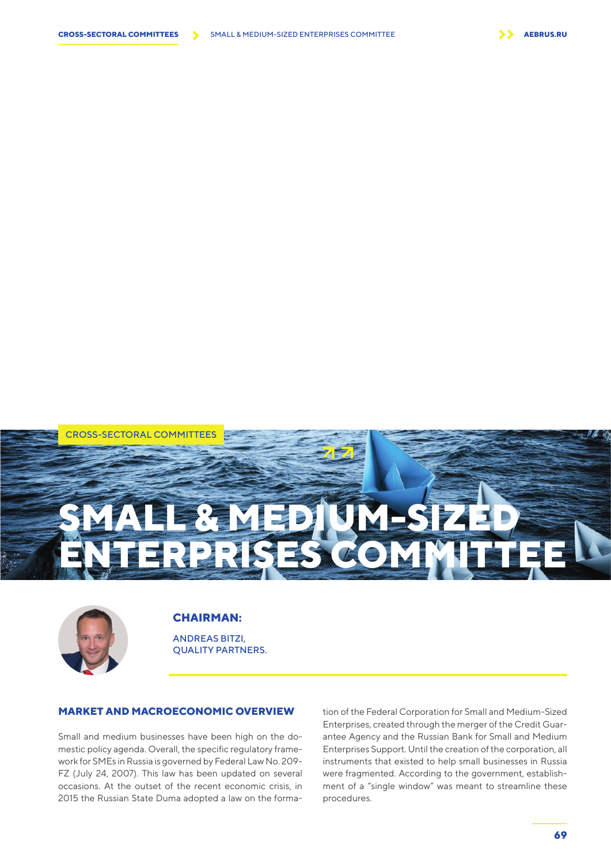

CROSS-SECTORAL COMMITTEES

# **CHAIRMAN:**

ANDREAS BITZI, QUALITY PARTNERS.

**SMALL & MEDIUM-SIZED** 

**ENTERPRISES COMMITTEE** 

# **MARKET AND MACROECONOMIC OVERVIEW**

Small and medium businesses have been high on the domestic policy agenda. Overall, the specific regulatory framework for SMEs in Russia is governed by Federal Law No. 209- FZ (July 24, 2007). This law has been updated on several occasions. At the outset of the recent economic crisis, in 2015 the Russian State Duma adopted a law on the formation of the Federal Corporation for Small and Medium-Sized Enterprises, created through the merger of the Credit Guarantee Agency and the Russian Bank for Small and Medium Enterprises Support. Until the creation of the corporation, all instruments that existed to help small businesses in Russia were fragmented. According to the government, establishment of a "single window" was meant to streamline these procedures.

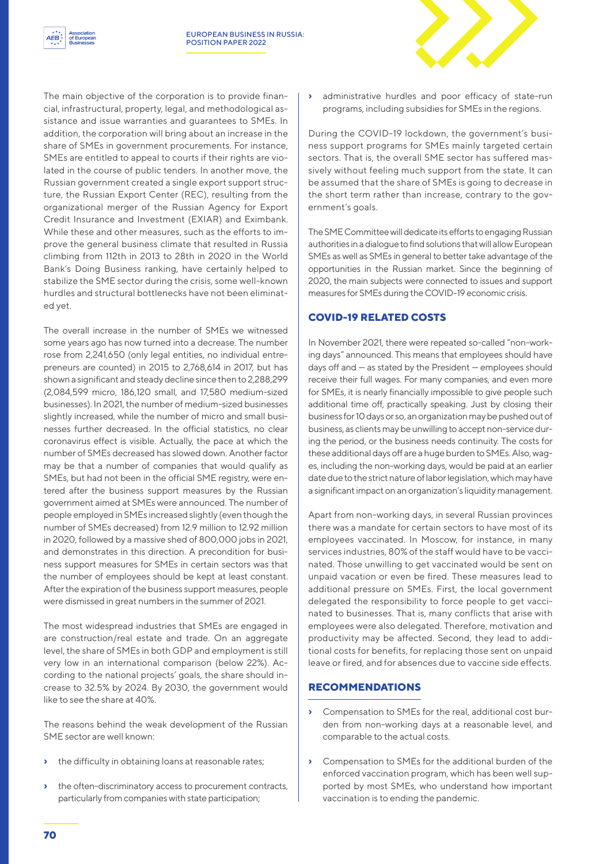

The main objective of the corporation is to provide financial, infrastructural, property, legal, and methodological assistance and issue warranties and guarantees to SMEs. In addition, the corporation will bring about an increase in the share of SMEs in government procurements. For instance, SMEs are entitled to appeal to courts if their rights are violated in the course of public tenders. In another move, the Russian government created a single export support structure, the Russian Export Center (REC), resulting from the organizational merger of the Russian Agency for Export Credit Insurance and Investment (EXIAR) and Eximbank. While these and other measures, such as the efforts to improve the general business climate that resulted in Russia climbing from 112th in 2013 to 28th in 2020 in the World Bank's Doing Business ranking, have certainly helped to stabilize the SME sector during the crisis, some well-known hurdles and structural bottlenecks have not been eliminated yet.

The overall increase in the number of SMEs we witnessed some years ago has now turned into a decrease. The number rose from 2,241,650 (only legal entities, no individual entrepreneurs are counted) in 2015 to 2,768,614 in 2017, but has shown a significant and steady decline since then to 2,288,299 (2,084,599 micro, 186,120 small, and 17,580 medium-sized businesses). In 2021, the number of medium-sized businesses slightly increased, while the number of micro and small businesses further decreased. In the official statistics, no clear coronavirus effect is visible. Actually, the pace at which the number of SMEs decreased has slowed down. Another factor may be that a number of companies that would qualify as SMEs, but had not been in the official SME registry, were entered after the business support measures by the Russian government aimed at SMEs were announced. The number of people employed in SMEs increased slightly (even though the number of SMEs decreased) from 12.9 million to 12.92 million in 2020, followed by a massive shed of 800,000 jobs in 2021, and demonstrates in this direction. A precondition for business support measures for SMEs in certain sectors was that the number of employees should be kept at least constant. After the expiration of the business support measures, people were dismissed in great numbers in the summer of 2021.

The most widespread industries that SMEs are engaged in are construction/real estate and trade. On an aggregate level, the share of SMEs in both GDP and employment is still very low in an international comparison (below 22%). According to the national projects' goals, the share should increase to 32.5% by 2024. By 2030, the government would like to see the share at 40%.

The reasons behind the weak development of the Russian SME sector are well known:

- **›** the difficulty in obtaining loans at reasonable rates;
- **›** the often-discriminatory access to procurement contracts, particularly from companies with state participation;

**›** administrative hurdles and poor efficacy of state-run programs, including subsidies for SMEs in the regions.

During the COVID-19 lockdown, the government's business support programs for SMEs mainly targeted certain sectors. That is, the overall SME sector has suffered massively without feeling much support from the state. It can be assumed that the share of SMEs is going to decrease in the short term rather than increase, contrary to the government's goals.

The SME Committee will dedicate its efforts to engaging Russian authorities in a dialogue to find solutions that will allow European SMEs as well as SMEs in general to better take advantage of the opportunities in the Russian market. Since the beginning of 2020, the main subjects were connected to issues and support measures for SMEs during the COVID-19 economic crisis.

### **COVID-19 RELATED COSTS**

In November 2021, there were repeated so-called "non-working days" announced. This means that employees should have days off and — as stated by the President — employees should receive their full wages. For many companies, and even more for SMEs, it is nearly financially impossible to give people such additional time off, practically speaking. Just by closing their business for 10 days or so, an organization may be pushed out of business, as clients may be unwilling to accept non-service during the period, or the business needs continuity. The costs for these additional days off are a huge burden to SMEs. Also, wages, including the non-working days, would be paid at an earlier date due to the strict nature of labor legislation, which may have a significant impact on an organization's liquidity management.

Apart from non-working days, in several Russian provinces there was a mandate for certain sectors to have most of its employees vaccinated. In Moscow, for instance, in many services industries, 80% of the staff would have to be vaccinated. Those unwilling to get vaccinated would be sent on unpaid vacation or even be fired. These measures lead to additional pressure on SMEs. First, the local government delegated the responsibility to force people to get vaccinated to businesses. That is, many conflicts that arise with employees were also delegated. Therefore, motivation and productivity may be affected. Second, they lead to additional costs for benefits, for replacing those sent on unpaid leave or fired, and for absences due to vaccine side effects.

#### **RECOMMENDATIONS**

- **›** Compensation to SMEs for the real, additional cost burden from non-working days at a reasonable level, and comparable to the actual costs.
- **›** Compensation to SMEs for the additional burden of the enforced vaccination program, which has been well supported by most SMEs, who understand how important vaccination is to ending the pandemic.